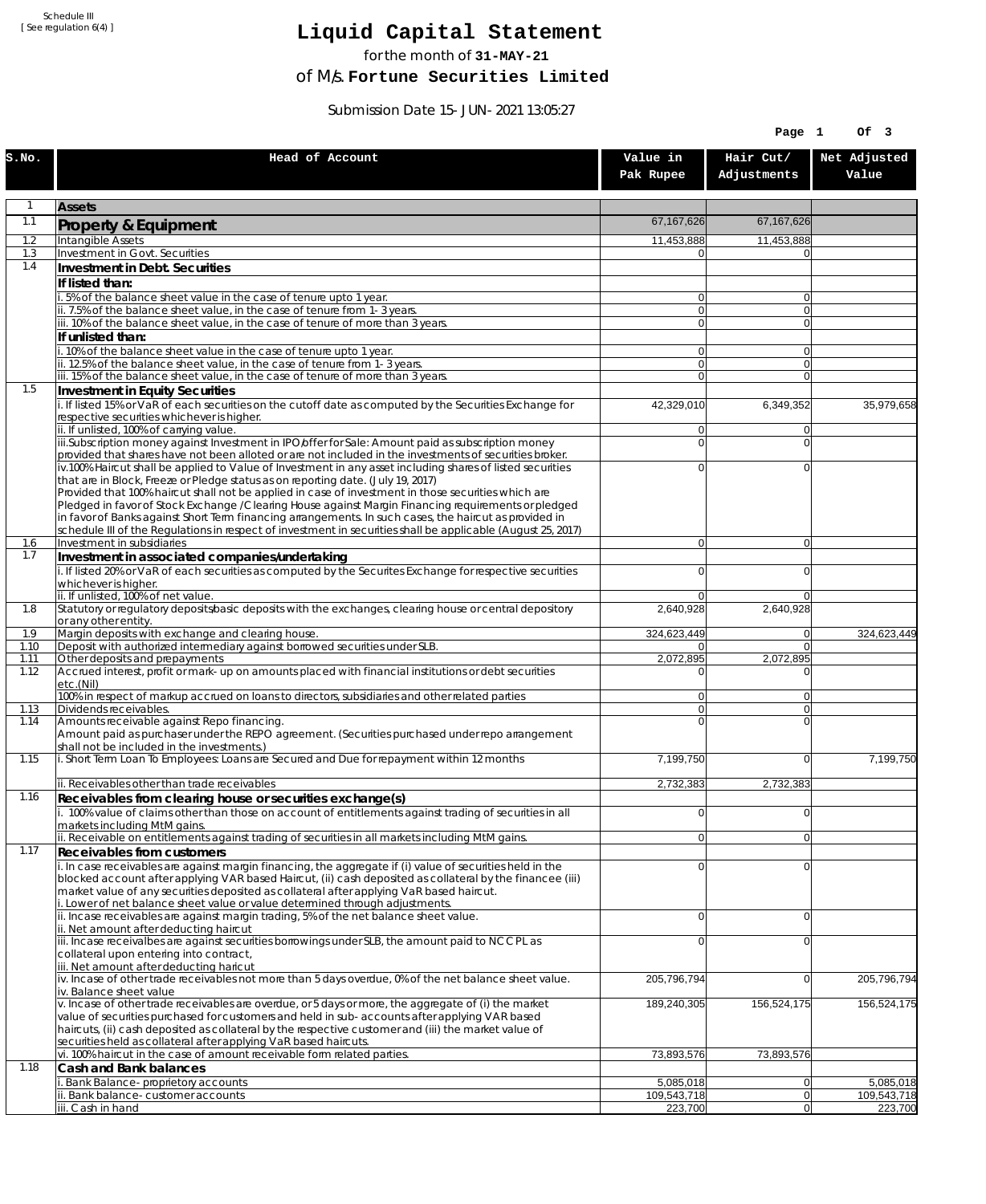Schedule III [ See regulation 6(4) ]

## **Liquid Capital Statement**

for the month of **31-MAY-21**

of M/s. **Fortune Securities Limited**

Submission Date 15-JUN-2021 13:05:27

|              |                                                                                                                                                                                                                        |                                  | Page 1                           | Of 3                   |
|--------------|------------------------------------------------------------------------------------------------------------------------------------------------------------------------------------------------------------------------|----------------------------------|----------------------------------|------------------------|
| S.NO.        | Head of Account                                                                                                                                                                                                        | Value in<br>Pak Rupee            | Hair Cut/<br>Adjustments         | Net Adjusted<br>Value  |
| 1            | <b>Assets</b>                                                                                                                                                                                                          |                                  |                                  |                        |
| 1.1          | Property & Equipment                                                                                                                                                                                                   | 67,167,626                       | 67, 167, 626                     |                        |
| 1.2          | Intangible Assets                                                                                                                                                                                                      | 11,453,888                       | 11,453,888                       |                        |
| 1.3<br>1.4   | Investment in Govt. Securities<br>Investment in Debt. Securities                                                                                                                                                       | $\Omega$                         | $\Omega$                         |                        |
|              | If listed than:                                                                                                                                                                                                        |                                  |                                  |                        |
|              | 5% of the balance sheet value in the case of tenure upto 1 year.                                                                                                                                                       | $\overline{0}$                   | $\overline{0}$                   |                        |
|              | ii. 7.5% of the balance sheet value, in the case of tenure from 1-3 years.                                                                                                                                             | 0                                | $\overline{0}$                   |                        |
|              | iii. 10% of the balance sheet value, in the case of tenure of more than 3 years.<br>If unlisted than:                                                                                                                  | $\overline{0}$                   | $\Omega$                         |                        |
|              | .10% of the balance sheet value in the case of tenure upto 1 year.                                                                                                                                                     | $\overline{0}$                   | 0                                |                        |
|              | ii. 12.5% of the balance sheet value, in the case of tenure from 1-3 years.                                                                                                                                            | 0                                | $\overline{0}$                   |                        |
| 1.5          | iii. 15% of the balance sheet value, in the case of tenure of more than 3 years.<br>Investment in Equity Securities                                                                                                    | $\overline{0}$                   | $\Omega$                         |                        |
|              | i. If listed 15% or VaR of each securities on the cutoff date as computed by the Securities Exchange for                                                                                                               | 42,329,010                       | 6,349,352                        | 35,979,658             |
|              | respective securities whichever is higher.                                                                                                                                                                             |                                  |                                  |                        |
|              | ii. If unlisted, 100% of carrying value.<br>iii.Subscription money against Investment in IPO/offer for Sale: Amount paid as subscription money                                                                         | $\overline{0}$<br>$\Omega$       | 0 <br>$\overline{0}$             |                        |
|              | provided that shares have not been alloted or are not included in the investments of securities broker.                                                                                                                |                                  |                                  |                        |
|              | iv.100% Haircut shall be applied to Value of Investment in any asset including shares of listed securities                                                                                                             | $\overline{0}$                   | 0                                |                        |
|              | that are in Block, Freeze or Pledge status as on reporting date. (July 19, 2017)<br>Provided that 100% haircut shall not be applied in case of investment in those securities which are                                |                                  |                                  |                        |
|              | Pledged in favor of Stock Exchange / Clearing House against Margin Financing requirements or pledged                                                                                                                   |                                  |                                  |                        |
|              | in favor of Banks against Short Term financing arrangements. In such cases, the haircut as provided in<br>schedule III of the Regulations in respect of investment in securities shall be applicable (August 25, 2017) |                                  |                                  |                        |
| 1.6          | Investment in subsidiaries                                                                                                                                                                                             | $\overline{0}$                   | $\overline{0}$                   |                        |
| 1.7          | Investment in associated companies/undertaking                                                                                                                                                                         |                                  |                                  |                        |
|              | i. If listed 20% or VaR of each securities as computed by the Securites Exchange for respective securities<br>whichever is higher.                                                                                     | $\Omega$                         | 0                                |                        |
|              | ii. If unlisted, 100% of net value.                                                                                                                                                                                    | $\overline{0}$                   | $\Omega$                         |                        |
| 1.8          | Statutory or regulatory deposits/basic deposits with the exchanges, clearing house or central depository                                                                                                               | 2,640,928                        | 2,640,928                        |                        |
| 1.9          | or any other entity.<br>Margin deposits with exchange and clearing house.                                                                                                                                              | 324,623,449                      | $\overline{0}$                   | 324,623,449            |
| 1.10         | Deposit with authorized intermediary against borrowed securities under SLB.                                                                                                                                            | 01                               | $\Omega$                         |                        |
| 1.11<br>1.12 | Other deposits and prepayments<br>Accrued interest, profit or mark-up on amounts placed with financial institutions or debt securities                                                                                 | 2,072,895<br>$\Omega$            | 2,072,895<br>0                   |                        |
|              | etc.(Nil)                                                                                                                                                                                                              |                                  |                                  |                        |
|              | 100% in respect of markup accrued on loans to directors, subsidiaries and other related parties                                                                                                                        | $\overline{0}$<br>$\overline{0}$ | 0                                |                        |
| 1.13<br>1.14 | Dividends receivables.<br>Amounts receivable against Repo financing.                                                                                                                                                   | $\overline{0}$                   | $\overline{0}$<br>$\overline{0}$ |                        |
|              | Amount paid as purchaser under the REPO agreement. (Securities purchased under repo arrangement                                                                                                                        |                                  |                                  |                        |
| 1.15         | shall not be included in the investments.)<br>i. Short Term Loan To Employees: Loans are Secured and Due for repayment within 12 months                                                                                | 7,199,750                        | $\Omega$                         | 7,199,750              |
|              |                                                                                                                                                                                                                        |                                  |                                  |                        |
|              | ii. Receivables other than trade receivables                                                                                                                                                                           | 2,732,383                        | 2,732,383                        |                        |
| 1.16         | Receivables from clearing house or securities exchange(s)<br>i. 100% value of claims other than those on account of entitlements against trading of securities in all                                                  | $\overline{0}$                   | $\mathbf 0$                      |                        |
|              | markets including MtM gains.                                                                                                                                                                                           |                                  |                                  |                        |
|              | ii. Receivable on entitlements against trading of securities in all markets including MtM gains.                                                                                                                       | $\overline{0}$                   | $\overline{0}$                   |                        |
| 1.17         | Receivables from customers                                                                                                                                                                                             | $\Omega$                         | $\mathbf 0$                      |                        |
|              | i. In case receivables are against margin financing, the aggregate if (i) value of securities held in the<br>blocked account after applying VAR based Haircut, (ii) cash deposited as collateral by the financee (iii) |                                  |                                  |                        |
|              | market value of any securities deposited as collateral after applying VaR based haircut.                                                                                                                               |                                  |                                  |                        |
|              | i. Lower of net balance sheet value or value determined through adjustments.<br>ii. Incase receivables are against margin trading, 5% of the net balance sheet value.                                                  | $\overline{0}$                   | $\overline{0}$                   |                        |
|              | ii. Net amount after deducting haircut                                                                                                                                                                                 |                                  |                                  |                        |
|              | iii. Incase receivalbes are against securities borrowings under SLB, the amount paid to NCCPL as<br>collateral upon entering into contract,                                                                            | $\mathbf 0$                      | 0                                |                        |
|              | iii. Net amount after deducting haricut                                                                                                                                                                                |                                  |                                  |                        |
|              | iv. Incase of other trade receivables not more than 5 days overdue, 0% of the net balance sheet value.                                                                                                                 | 205,796,794                      | $\overline{0}$                   | 205,796,794            |
|              | iv. Balance sheet value<br>v. Incase of other trade receivables are overdue, or 5 days or more, the aggregate of (i) the market                                                                                        | 189,240,305                      | 156,524,175                      | 156,524,175            |
|              | value of securities purchased for customers and held in sub-accounts after applying VAR based                                                                                                                          |                                  |                                  |                        |
|              | haircuts, (ii) cash deposited as collateral by the respective customer and (iii) the market value of<br>securities held as collateral after applying VaR based haircuts.                                               |                                  |                                  |                        |
|              | vi. 100% haircut in the case of amount receivable form related parties.                                                                                                                                                | 73,893,576                       | 73,893,576                       |                        |
| 1.18         | Cash and Bank balances                                                                                                                                                                                                 |                                  |                                  |                        |
|              | i. Bank Balance-proprietory accounts                                                                                                                                                                                   | 5,085,018                        | 0                                | 5,085,018              |
|              | ii. Bank balance-customer accounts<br>iii. Cash in hand                                                                                                                                                                | 109,543,718<br>223,700           | 0 <br> 0                         | 109,543,718<br>223,700 |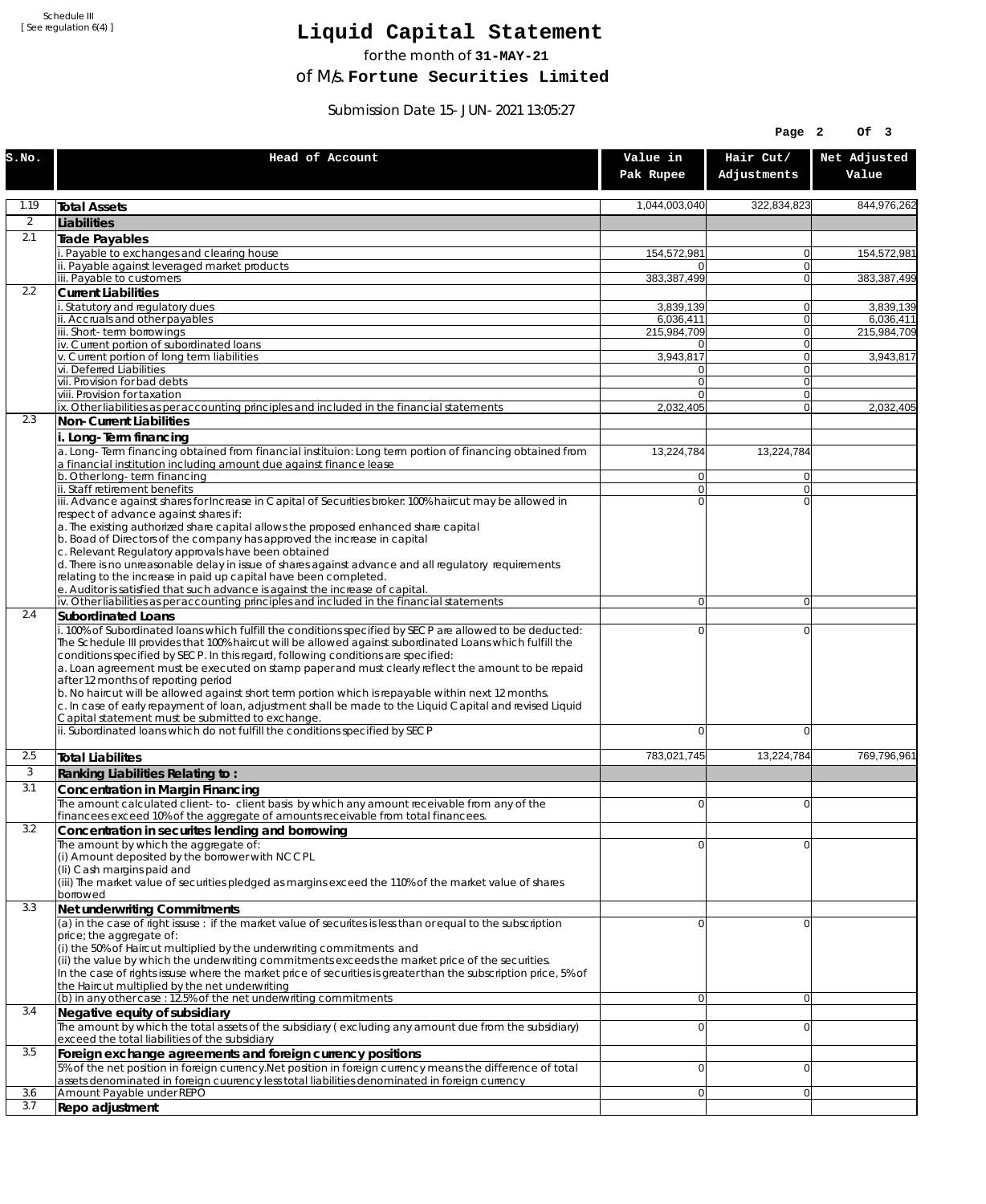Schedule III [ See regulation 6(4) ]

## **Liquid Capital Statement**

for the month of **31-MAY-21**

of M/s. **Fortune Securities Limited**

Submission Date 15-JUN-2021 13:05:27

|              |                                                                                                                                                                                                                                                                                                                                                                                                                                                                                                                                                                                                                                                                                                                             |                                  | Page 2                     | Of 3                     |
|--------------|-----------------------------------------------------------------------------------------------------------------------------------------------------------------------------------------------------------------------------------------------------------------------------------------------------------------------------------------------------------------------------------------------------------------------------------------------------------------------------------------------------------------------------------------------------------------------------------------------------------------------------------------------------------------------------------------------------------------------------|----------------------------------|----------------------------|--------------------------|
| S.NO.        | Head of Account                                                                                                                                                                                                                                                                                                                                                                                                                                                                                                                                                                                                                                                                                                             | Value in<br>Pak Rupee            | Hair Cut/<br>Adjustments   | Net Adjusted<br>Value    |
| 1.19         | <b>Total Assets</b>                                                                                                                                                                                                                                                                                                                                                                                                                                                                                                                                                                                                                                                                                                         | 1,044,003,040                    | 322,834,823                | 844,976,262              |
| 2            | Liabilities                                                                                                                                                                                                                                                                                                                                                                                                                                                                                                                                                                                                                                                                                                                 |                                  |                            |                          |
| 2.1          | Trade Payables                                                                                                                                                                                                                                                                                                                                                                                                                                                                                                                                                                                                                                                                                                              |                                  |                            |                          |
|              | Payable to exchanges and clearing house                                                                                                                                                                                                                                                                                                                                                                                                                                                                                                                                                                                                                                                                                     | 154,572,981                      | $\overline{0}$             | 154,572,981              |
|              | ii. Payable against leveraged market products<br>iii. Payable to customers                                                                                                                                                                                                                                                                                                                                                                                                                                                                                                                                                                                                                                                  | 0<br>383,387,499                 | $\Omega$<br>$\Omega$       | 383,387,499              |
| 2.2          | <b>Current Liabilities</b>                                                                                                                                                                                                                                                                                                                                                                                                                                                                                                                                                                                                                                                                                                  |                                  |                            |                          |
|              | . Statutory and regulatory dues                                                                                                                                                                                                                                                                                                                                                                                                                                                                                                                                                                                                                                                                                             | 3,839,139                        | $\overline{0}$             | 3,839,139                |
|              | ii. Accruals and other payables<br>iii. Short-term borrowings                                                                                                                                                                                                                                                                                                                                                                                                                                                                                                                                                                                                                                                               | 6,036,411<br>215,984,709         | $\Omega$<br> 0             | 6,036,411<br>215,984,709 |
|              | iv. Current portion of subordinated loans                                                                                                                                                                                                                                                                                                                                                                                                                                                                                                                                                                                                                                                                                   | 0                                | $\Omega$                   |                          |
|              | v. Current portion of long term liabilities                                                                                                                                                                                                                                                                                                                                                                                                                                                                                                                                                                                                                                                                                 | 3,943,817                        | $\Omega$                   | 3,943,817                |
|              | vi. Deferred Liabilities<br>vii. Provision for bad debts                                                                                                                                                                                                                                                                                                                                                                                                                                                                                                                                                                                                                                                                    | 0<br>$\overline{0}$              | 0 <br>$\Omega$             |                          |
|              | viii. Provision for taxation                                                                                                                                                                                                                                                                                                                                                                                                                                                                                                                                                                                                                                                                                                | $\Omega$                         | $\Omega$                   |                          |
|              | ix. Other liabilities as per accounting principles and included in the financial statements                                                                                                                                                                                                                                                                                                                                                                                                                                                                                                                                                                                                                                 | 2,032,405                        | $\Omega$                   | 2,032,405                |
| 2.3          | Non-Current Liabilities                                                                                                                                                                                                                                                                                                                                                                                                                                                                                                                                                                                                                                                                                                     |                                  |                            |                          |
|              | i. Long-Term financing<br>a. Long-Term financing obtained from financial instituion: Long term portion of financing obtained from<br>a financial institution including amount due against finance lease                                                                                                                                                                                                                                                                                                                                                                                                                                                                                                                     | 13,224,784                       | 13,224,784                 |                          |
|              | b. Other long-term financing<br>ii. Staff retirement benefits                                                                                                                                                                                                                                                                                                                                                                                                                                                                                                                                                                                                                                                               | $\overline{0}$<br>$\overline{0}$ | $\overline{0}$<br>$\Omega$ |                          |
|              | iii. Advance against shares for Increase in Capital of Securities broker: 100% haircut may be allowed in                                                                                                                                                                                                                                                                                                                                                                                                                                                                                                                                                                                                                    | $\Omega$                         | $\Omega$                   |                          |
|              | respect of advance against shares if:<br>a. The existing authorized share capital allows the proposed enhanced share capital<br>b. Boad of Directors of the company has approved the increase in capital<br>c. Relevant Regulatory approvals have been obtained<br>d. There is no unreasonable delay in issue of shares against advance and all regulatory requirements<br>relating to the increase in paid up capital have been completed.<br>e. Auditor is satisfied that such advance is against the increase of capital.                                                                                                                                                                                                |                                  |                            |                          |
|              | iv. Other liabilities as per accounting principles and included in the financial statements                                                                                                                                                                                                                                                                                                                                                                                                                                                                                                                                                                                                                                 | $\overline{0}$                   | $\overline{0}$             |                          |
| 2.4          | Subordinated Loans                                                                                                                                                                                                                                                                                                                                                                                                                                                                                                                                                                                                                                                                                                          |                                  |                            |                          |
|              | . 100% of Subordinated loans which fulfill the conditions specified by SECP are allowed to be deducted:<br>The Schedule III provides that 100% haircut will be allowed against subordinated Loans which fulfill the<br>conditions specified by SECP. In this regard, following conditions are specified:<br>a. Loan agreement must be executed on stamp paper and must clearly reflect the amount to be repaid<br>after 12 months of reporting period<br>b. No haircut will be allowed against short term portion which is repayable within next 12 months.<br>c. In case of early repayment of loan, adjustment shall be made to the Liquid Capital and revised Liquid<br>Capital statement must be submitted to exchange. | 0                                | $\mathbf 0$                |                          |
|              | ii. Subordinated loans which do not fulfill the conditions specified by SECP                                                                                                                                                                                                                                                                                                                                                                                                                                                                                                                                                                                                                                                | $\Omega$                         | $\Omega$                   |                          |
| 2.5          | <b>Total Liabilites</b>                                                                                                                                                                                                                                                                                                                                                                                                                                                                                                                                                                                                                                                                                                     | 783,021,745                      | 13,224,784                 | 769,796,961              |
| $\mathbf{3}$ | Ranking Liabilities Relating to:                                                                                                                                                                                                                                                                                                                                                                                                                                                                                                                                                                                                                                                                                            |                                  |                            |                          |
| 3.1          | Concentration in Margin Financing                                                                                                                                                                                                                                                                                                                                                                                                                                                                                                                                                                                                                                                                                           |                                  |                            |                          |
|              | The amount calculated client-to-client basis by which any amount receivable from any of the                                                                                                                                                                                                                                                                                                                                                                                                                                                                                                                                                                                                                                 | $\overline{0}$                   | $\Omega$                   |                          |
| 3.2          | financees exceed 10% of the aggregate of amounts receivable from total financees.<br>Concentration in securites lending and borrowing                                                                                                                                                                                                                                                                                                                                                                                                                                                                                                                                                                                       |                                  |                            |                          |
|              | The amount by which the aggregate of:<br>(i) Amount deposited by the borrower with NCCPL<br>(Ii) Cash margins paid and<br>(iii) The market value of securities pledged as margins exceed the 110% of the market value of shares<br>borrowed                                                                                                                                                                                                                                                                                                                                                                                                                                                                                 | 0                                | $\Omega$                   |                          |
| 3.3          | Net underwriting Commitments                                                                                                                                                                                                                                                                                                                                                                                                                                                                                                                                                                                                                                                                                                |                                  |                            |                          |
|              | (a) in the case of right issuse : if the market value of securites is less than or equal to the subscription<br>price; the aggregate of:<br>(i) the 50% of Haircut multiplied by the underwriting commitments and<br>(ii) the value by which the underwriting commitments exceeds the market price of the securities.<br>In the case of rights issuse where the market price of securities is greater than the subscription price, 5% of<br>the Haircut multiplied by the net underwriting                                                                                                                                                                                                                                  | 0                                | $\overline{0}$             |                          |
| 3.4          | (b) in any other case : 12.5% of the net underwriting commitments                                                                                                                                                                                                                                                                                                                                                                                                                                                                                                                                                                                                                                                           | $\overline{0}$                   | $\overline{0}$             |                          |
|              | Negative equity of subsidiary<br>The amount by which the total assets of the subsidiary (excluding any amount due from the subsidiary)<br>exceed the total liabilities of the subsidiary                                                                                                                                                                                                                                                                                                                                                                                                                                                                                                                                    | 0                                | $\overline{0}$             |                          |
| 3.5          | Foreign exchange agreements and foreign currency positions                                                                                                                                                                                                                                                                                                                                                                                                                                                                                                                                                                                                                                                                  |                                  |                            |                          |
|              | 5% of the net position in foreign currency. Net position in foreign currency means the difference of total<br>assets denominated in foreign cuurency less total liabilities denominated in foreign currency                                                                                                                                                                                                                                                                                                                                                                                                                                                                                                                 | 0                                | $\mathbf 0$                |                          |
| 3.6          | Amount Payable under REPO                                                                                                                                                                                                                                                                                                                                                                                                                                                                                                                                                                                                                                                                                                   | 0                                | $\overline{0}$             |                          |
| 3.7          | Repo adjustment                                                                                                                                                                                                                                                                                                                                                                                                                                                                                                                                                                                                                                                                                                             |                                  |                            |                          |